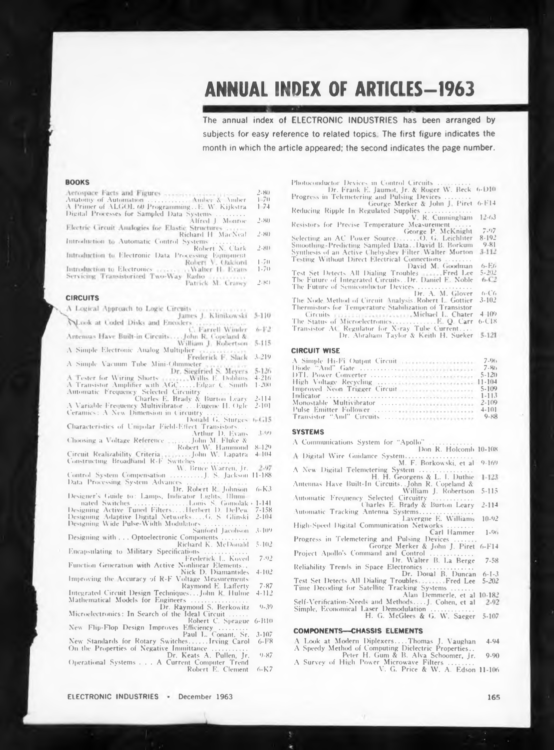# **ANNUAL INDEX OF ARTICLES—1963**

The annual index of ELECTRONIC INDUSTRIES has been arranged by subjects for easy reference to related topics The first figure indicates the month in which the article appeared; the second indicates the page number.

**Photoconductor Devices in Control Circuits ...................**

**Progress in Telemetering and Pulsing Devices...............**

**Dr. Frank E. Jaumot, Jr. & Roger W. Beck 6-D10**

**6-F14 12-63 7-97 8-192**

**Reducing George Merker & John <sup>J</sup> Piret Ripple In Regulated Supplies ............................ V. R. Cunningham**

**Resistors for Precise Temiærature Measurement .........**

George P. McKnight<br>Selecting an AC Power Source........O. G. Leichliter<br>Smoothing-Predicting Sampled Data..David B. Borkum

## **BOOKS**

|                                                      | $2 - 150$   |
|------------------------------------------------------|-------------|
| Anatomy of Automation  Amber & Amber                 | $1 - 70$    |
| A Primer of ALGOL 60 ProgrammingE. W. Kijkstra       | 174         |
| Digital Processes for Sampled Data Systems           |             |
| Alfred L. Monroe                                     | $2 - 80$    |
| Electric Circuit Analogies for Elastic Structures    |             |
| Richard H. MacNeal                                   | $2 - 80$    |
| Introduction to Automatic Control Systems            |             |
| Robert N. Clark                                      | $2 - 80$    |
| Introduction to Electronic Data Processing Equipment |             |
| Ex. 5. 1. 1. 1. 1. 1. 1. 1. 1. 1. 1.                 | $1 - 2 - 1$ |

**1-70** Robert V. **Oakford Introduction to Electronics**<br>**Servicing Transistorized Two-Way** Walter H. Evans **1-70**

Radio Patrick M. Craney **2-8!)**

## **CIRCUITS**

|  | A Logical Approach to Logic Circuits    |  |                            |  |
|--|-----------------------------------------|--|----------------------------|--|
|  |                                         |  | James J. Klinikowski 5-110 |  |
|  | Call and an United Distances Department |  |                            |  |

A Look at Coded Disks and Encoders Farrell Winder  $6 - 172$ Antenoas Have Built-in Circuits...

**Antenuas Have Built-in Circuits..... John R. Copeland & William J. Robertson<br>A Simple Electronic Analog Multiplier**  $5 - 115$ 

**3 219**

**A Simple Vacuum Tultc Mini-Ohmmeter**  $5 - 126$ 

**\ Fester for \\ iring Shorts** Willis E. Dobbins **A Transistor Amplifier with AGC.........Edgar C. Smith 4-216** 111. Edgar C. Smith 1-200

Automatic Frequency Selected Circuitry<br>Charles E. Brady & Burton Leary<br>A Variable Frequency Multivibrator . . .Eugene H. Ogle **2-114**

**Ceramics: A New Dimension in Circuitry ....................... Donald G. Sturges 2-101** *Eugene H. Ogle* 2-101

**Characteristics of Unipolar Field-Effect Transistors... 3-99**

**Choosing <sup>a</sup> \ oltage Reference .Arthur D. Evans . ., .John M. Fluke &• Robert W. Hammond** 8 129

Circuit Realizability Criteria [19] [19] John W. Lapatra<br>Constructing Broadband R-F Switches<br>W. Bruce Warren, Jr. 4 104

**Control System Compensation ....................J. S. Jackson** 11.1.11J. S. Jackson 11-188

**<sup>1</sup> )ata Processing System Advances .................................... Dr. Robert R Johnson 6-K3**

- Designer's Guide to: Lamps, Indicator Lights, Illumi-<br>-----nated Switches (2000), 2000, 2001, 2001, 2001, 2001, 2014<br>Designing Active Tuned Filters, 2014, Herbert D. DePew 7-158
- **2-104**

**Designing Adaptive Digital Networks... ,G. S Glinski Designing Wide Pulse-Width Modulators..........................**

**Sanford Jacobson 3-109 Designing with . . . Optoelectronic Components............... Richard K. McDonald 5-102**

**Encapsulating to Military Specifications .......................... Frederick L. Koved 7-92**

**Function Generation with Active Nonlinear Elements . Nick D. Diatnantides 4-102**

**Improving the \ccuracy of R-F Voltage Measurements Raymond E. Lafferty 7-87**

**Integrated Circuit Design Techniques.. .John R Hulme 4-112**

**Mathematical Models for Engineers .................................. 9-39**

**Dr. Raymond S. Berkowitz Microelectronics: In Search of the Ideal Circuit ........... Robert C. Sprague 6-B10**

**New Flip-Flop Design Improves Efficiency ................. Paul L. Conant, Sr. New Standards for Rotary Switches.......... Irving Carol 3-107 6-1-8**

**On tlx- Properties of Negative Immittance ..................... Dr. Keats A. Pullen, Jr. 9-87**

**Operational Systems ... <sup>A</sup> Current Computer Trend Robert E. Clement 6-K7**

**Synthesis of an Active Chebyshev Filter. Walter Morton Testing Without Direct Electrical Connections............... David M.** Goodman **Test Set Detects All Dialing Troubles Fred Lee Tile Future of Integrated Circuits.. Dr. Daniel E. Noble The Future of Semiconductor Devices................................ Dr. A. M. Glover The Node -Method of Circuit Dialysis. Robert L. Gottier 3-102 Thermistors for Temperature Stabilization of Transistor Circuits Michael L. Chater The Status of Microelectronics..........................E. Q. Carr Transistor AC Regulator for X-ray Tul>e Current.... Dr. Abraham Taylor & Keith H. Sueker CIRCUIT WISE A Simple Hi-1 <sup>i</sup> Output Circuit Diode "And" («ate ...................... DTL Power Converter ............... High Voltage Recycling ........... 9-81 6-E6 5-2'12** 6-C6 **4 109 6-C18 7-96 7-86 5-120**

| Improved Neon Trigger Circuit <b>System Constitution</b> 5-109 |  |  |  |  |  |  |  |  |  |  |  |           |
|----------------------------------------------------------------|--|--|--|--|--|--|--|--|--|--|--|-----------|
|                                                                |  |  |  |  |  |  |  |  |  |  |  | $1 - 113$ |
| Monostable Multivibrator                                       |  |  |  |  |  |  |  |  |  |  |  | $2 - 109$ |
| Pulse Emitter Follower                                         |  |  |  |  |  |  |  |  |  |  |  | $4 - 101$ |
|                                                                |  |  |  |  |  |  |  |  |  |  |  | $9 - 88$  |

## **SYSTEMS**

**A Communications System for "Apollo" ..........................**

**Don R. Holcomb 10-108**

- **Digital Wire Guidance System......................................... M. F. Borkowski, et al 9-169**
- A **New Digital Telemetering System ................................ H. H. Georgens & L. I. Duthie**

**Antennas Have Built-In Circuits. .John R. Copeland & William J. Robertson 5-115**

**Automatic Frequency Selected Circuitry ........................** Charles E. Brady & Burton Leary 2-114

**Charles E. Brady & Burton Leary Automatic Tracking Antenna Systems................................. Lavergne E. Williams 10-92**

**High-Speed Digital Communication Networks ............... Carl Hammer Progress in Telemetering and Pulsing Devices ............. l-9o**

George Merker & John J. Piret<br>Project Apollo's Command and Control<br>Dr. Walter B. La Berge **6-F14**

**Reliability Trends in Space Electronics ............................ 7-58**

**Dr. Donal B. Duncan 6-1-3 Test Set Detects All Dialing Troubles** Fred Lee **Time Decoding for Satellite Tracking Systems ............. 5-202**

**Alan Demmerle, et al 10-182**

**Self-Verification-Needs and Methods... .J. Cohen, et al**

**Simple, Economical Laser Demodulation .......................... H. G. McGlees & G. W. Saeger 5-107**

## **COMPONENTS—CHASSIS ELEMENTS**

A Look at Modern Diplexers....Thomas J. Vaughan<br>A Speedy Method of Computing Dielectric Properties..<br>Peter H. Gum & B. Alva Schoomer, Jr. **4-94**

- **9-90**
- **A Survey of High Power Microwave Filters ............... V. G. Price & W. A. Edson 11-106**

**ELECTRONIC INDUSTRIES •** December 1963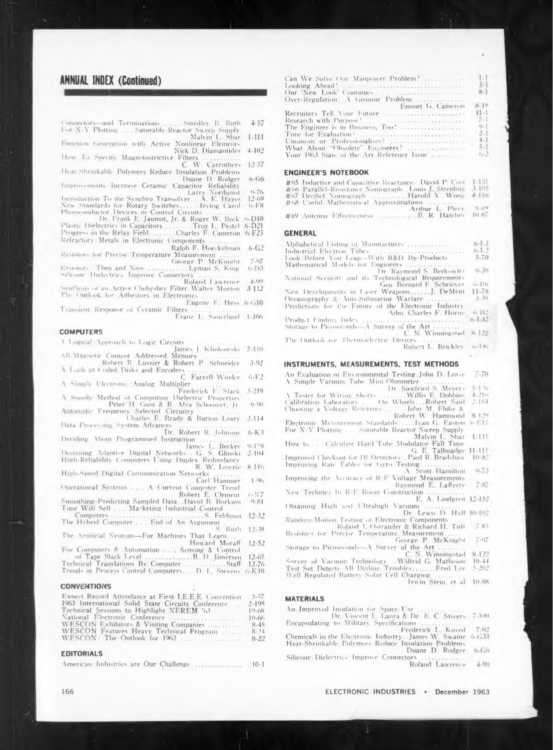# **ANNUAL INDEX (Continued)**

| Connectors-and Terminations.                     | Smedley B. Ruth | 4.57 |
|--------------------------------------------------|-----------------|------|
| For X-Y Plotting  Saturable Reactor Sweep Supply |                 |      |

Malvin L. Shar 1-111 Function Generation with Active Nonlinear Elements

Nick D. Diamantides 4-102 How To Specify Magnetostrictive Filters

W. Carruthers 12-57 Heat-Shrinkable Polymers Reduce Insulation Problems

 $6 - 66$ Duane D. Rodger Improvements Increase Ceramic Capacitor Reliability

Improvements Increase Ceramic Capacitor Reliability<br>
Introduction To the Synchro Transolver ...A. E. Hayes 12-69<br>
New Standards for Rotary Switches......Irving Carol 6-F8<br>
Photoconductor Devices in Control Circuits .......

Refractory Metals in Electronic Components

Ralph F. Hoeckelman 6-G2 Resistors for Precise Temperature Measurement

George P. McKnight  $7.97$ Resistors: Then and Now ...Lyman S. King 6-D3

Silicone Dielectrics Improve Connectors

Roland Lawrence 4.99<br>Synthesis of an Active Chebyshev Filter Walter Morton 3-112 The Outlook for Adhesives in Electronics

Eugene F. Hess 6-G10 Transient Response of Ceramic Filters

Franz L. Sauerland 1-106

## **COMPUTERS**

V Logical Approach to Logic Circuits James J. Klinkowski 5-110

All Magnetic Content Addressed Memory<br>Robert R. Lussier & Robert P. Schneider  $3.92$ 

Robert R. Lussier & American Collection (2014)<br>A Look at Coded Disks and Encoders (2015)  $6 - F<sup>2</sup>$ 

A Simple Electronic Analog Multiplier Frederick E. Slack 3-219

A Smoothy Method of Computing Dielectric Properties

Peter H Gum & B. Alva Schoomer, Jr. 9-90<br>Automatic Frequency Selected Circuitry<br>Charles E. Brady & Burton Leary 2-114

Data Processing System Advances Dr. Robert R. Johnson  $6 - K3$ 

Deciding About Programmed Instruction

James L. Becker 9-179<br>High-Reliability Computers Using Duplex Redundancy<br>High-Speed Digital Communication New Lowthe 8-116

High-Speed Digital Communication Networks Carl Hammer  $1 - 96$ 

Operational Systems - A Current Computer Trend  $f_1 = 3.57$ Robert E. Clement

Smoothing-Predicting Sampled Data . David B. Borkum  $0.81$ Time Will Sell . . . Marketing Industrial Control

..S. Feldman 12-32

The Artificial Neurons-For Machines That Learn ...<br>Howard Moraff 12-52

For Computers 8: Automation<br>of Tape Slack Level<br>of Tape Slack Level<br>Translations By Computer<br>of Control Computer<br>of Capel Control Computer<br>of Computer<br>of Capel Control Computer<br>of Computer<br>of Level (4:10)<br>of Translations B

## **CONVENTIONS**

| Expect Record Attendance at First LE.E.E. Convention | $3 - 7$   |
|------------------------------------------------------|-----------|
| 1963 International Solid State Circuits Conference   | $2 - 198$ |
| Technical Sessions to Highlight NEREM '63            | $10-68$   |
| National Electronic Conference                       | $10 - 66$ |
| WESCON Exhibitors & Visiting Companies               | $8 - 45$  |
| WESCON Features Heavy Technical Program              | $8 - 24$  |
| WESCON: The Outlook for 1963                         | $8-22$    |

## **EDITORIALS**

|  |  |  |  | American Industries are Our Challenge | $10-1$ |
|--|--|--|--|---------------------------------------|--------|
|--|--|--|--|---------------------------------------|--------|

| Can We Solve Our Manpower Problem?                                                    | $1-1$             |
|---------------------------------------------------------------------------------------|-------------------|
|                                                                                       | $3 - 1$           |
|                                                                                       | $8-1$             |
| Over-Regulation: $\Lambda$ Genuine Problem                                            |                   |
| Emmet G. Cameron                                                                      | $-8-10$           |
|                                                                                       | $11-1$            |
|                                                                                       | $7 - 1$           |
|                                                                                       | 9.1               |
| Time for Evaluation? $\ldots, \ldots, \ldots, \ldots, \ldots, \ldots, \ldots, \ldots$ | $2-1$             |
|                                                                                       | $\frac{4-1}{5-1}$ |
|                                                                                       |                   |
| Your 1963 State of the Art Reference Issue                                            | $D-2$             |

## **ENGINEER'S NOTEBOOK**

| #65 Inductive and Capacitive Reactance. David P. Cost       | - 1.1.31 |
|-------------------------------------------------------------|----------|
| #66 Parallel-Resistance Nomograph. Louis J. Streidnig 3-105 |          |
|                                                             |          |
| #68 Useful Mathematical Approximations                      |          |
| Arthur L. Plevy                                             | 13.339   |
| #69 Automa Film ticques, R.R. Hatcher 10-87                 |          |

## **GENERAL**

|                                                       | $6-1.3$    |  |
|-------------------------------------------------------|------------|--|
| Industrial Electron Tubes                             | $6-1.2$    |  |
| Look Before You Leap With R&D By-Products             | 5.70       |  |
| Mathematical Models for Engineers                     |            |  |
| Dr. Raymond S. Berkowitz                              | 9.39       |  |
| National Security and its Technological Requirements  |            |  |
| Gen. Bernard F. Schriever                             | ti-Rts     |  |
| New Developments in Laser WeaponsJ. DeMent            | $11 - 78$  |  |
| Oceanography & Anti-Submarine Warfare                 | $3 - 38$   |  |
| Predictions for the Future of the Electronic Industry |            |  |
| Adm. Charles F. Horne                                 | $1 - 13.2$ |  |
|                                                       | $F-1.42$   |  |
| Storage to Picoseconds-A Survey of the Art            |            |  |
| $\mathbb{C}$ N Winnipectual $\mathbb{R}$ .111         |            |  |

The Outlook for Thermoelectric Devices Robert L. Brickley 6-185

## INSTRUMENTS, MEASUREMENTS, TEST METHODS

An Evaluation of Environmental Testing. John D. Losse  $7 - 70$ A Simple Vacuum Tube Mini-Ohmneter<br>Dr. Siegfried S. Meyers = 1%

- 
- 
- 
- Electronic Measurement Standards . E. Jvan G. Easton J. FII.

Electronic Measurement Standards .... Ivan G. Easten<br>For X-Y Plotting ... Saturable Reactor Sweep Supply<br>Malvin L. Shar 1-111<br>How to ... Calculate Hard Tube Modulator Fall Time<br>G. E. Tallmadge 11-111

G. E. Tallmadge 11-111<br>Improved Checkout for IR Detectors...Paul R. Bradshaw 10-82

Improving Rate Tables for Gyro Testing  $0.73$ 

A. Scott Hamilton<br>Improving the Accuracy of R-F Voltage Measurements Raymond E. Lafferty  $7 - 87$ 

New Technics In R-F Room Construction

E. A. Lindgren 12-152 Obtaining High and Ultrahigh Vacuum

Random-Motion Testing of Electronic Components  $7.83$ 

Roland J. Ostrander & Richard H. Tuft<br>Resistors for Precise Temperature Measurement George P. McKnight  $7.97$ 

Storage to Picoseconds—A Survey of the Art ........<br>C. N. Winningstad<br>Survey of Vacuum Technology... Wilfrid G. Matheson<br>Test Set Detects, All Dialing Troubles  $8 - 122$ 

 $10 - 44$  $5 - 202$ 

Well Regulated Battery-Solar Cell Charging

Irwin Stein, et al. 10-88

## **MATERIALS**

- Frederick L. Koved  $7.01$
- Chemicals in the Electronic Industry. James W. Swaine 6-633.<br>Heat-Shrinkable Polymers Reduce Insulation Problems  $6 - Gb$

Duane D. Rodger Silicone Dielectrics Improve Connectors

Roland Lawrence 4.99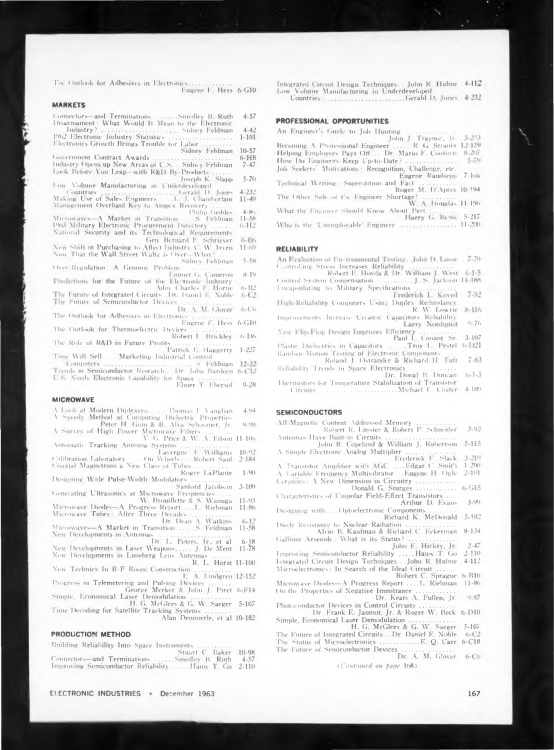The Outlook for Adhesives in Electronics.... Eugene F. Hess 6-G10

#### **MARKETS**

| Connectors and Terminations |                                                    | Smedley B. Ruth                 | $4 - 57$     |
|-----------------------------|----------------------------------------------------|---------------------------------|--------------|
|                             | Disarmament: What Would It Mean to the Electronic. |                                 |              |
| Indian America              |                                                    | and the country for the company | $A - A^{-1}$ |

- 1962 Electronic Industry Statistics Nidney Feldman 1.101 . . . . . . . . . . . Electronics Growth Brings Trouble for Labor
- Sidney Feldman  $10 - 57$ Government Contract Awards  $6 - H8$
- Industry Opens up New Areas of U.S. Industry Opens up New Areas or C.S. (Community Cook Before You Leap-with R&D By-Products Cook Before You Leap- $7 - 47$  $5 - 70$
- Low Volume Manufacturing in Underdeveloped  $1.232$
- Countries<br>Making Use of Sales Engineers.......1. J. Chamberlain  $11 - 49$ Management Overhaul Key to Ampex Recovery  $A.801$
- Philip Geddes Microwaves—A Market in Transition 1998. Peldina<br>1963 Military Electronic Procurement Directory 1993  $11 - 58$  $6 - H<sup>2</sup>$
- National Security and its Technological Requirements Gen. Bernard F. Schriever 6-B6<br>New Shift in Purchasing to Aftect Industry C. W. Irven 11-69
- Now That the Wall Street Waltz is Over. What -
- $5.58$ Sidney Feldman Over-Regulation: A Genuine Problem
- Emmet G. Cameron  $8.19$ Predictions for the Future of the Electronic Industry Mm. Charles F. Horne  $6 - 132$
- The Future of Integrated Circuits. Dr. Daniel E. Noble  $1.12$ The Future of Semiconductor Devices
- Dr. A. M. Glover  $6 - C_1$ The Outlook for Adhesives in Electronics
- Eugene F. Hess 6-G10 The Outlook for Thermoelectric Device
- Robert L. Brickley  $(1 - 1)$ The Role of R&D in Future Profits
- Patrick E. Haggerty 1-227 Time Will Sell ... Marketing Industrial Control
- 15. Feldman 12-32 Committers ...
- Computers<br>Trimis in Semiconductor Research. Dr. John Bardeen h-C12 U.S. Needs Electronic Capability for Space
- Elmer T. Ebersol.  $Q - 2R$

## **MICROWAVE**

- V Look at Modern Diplexers, 11 Thomas L Vaughan  $-1.94$ Speedy Method of Computing Dielectric Properties
- Peter H. Gum & B. Alva Schooner, Jr. 9-90<br>N Survey of High Power Microwave Filters ........<br>V G. Price & W. A. Edson 11-106
- Antomatic Tracking Antenna Systems Lavergne E. Williams  $10.02$
- On Wheels Colibration Laboratory ... On Wheels. ...<br>Coaxial Magnetrons a New Class of Tubes -Robert Saul  $2.184$
- Roger LaPlante  $1 - 9(1)$ Designing Wide Pulse-Width Modulators
- Sanford Jacobson 3-109<br>Generating Ultrasonics at Microwave Frequencies
- W. Brouillette & S. Wanuga  $11 - 93$ Microwave Diodes-A Progress Report... I. Riebman 11-86
- Microwave Tubes: After Three Decades<br>Dr. Dean A. Watkins 6-12<br>Microwaves—A Market in Transition ......S. Feldman 11-58
- 
- New Developments in Antennas (2008). The Peters, J.E., et al. 6-18<br>New Developments in Laser Weapons. (2018). De Ment 11-78<br>New Developments in Laser Weapons. (2018). De Ment 11-78
- New Technics In R-F Room Construction<br>E. A. Lindgren 12-152
- Progress in Telemetering and Pulsing Devices ...
- George Merker & John J. Piret 6-F14
- Time Decoding for Satellite Tracking Systems
- Alan Demmerle, et al 10-182

#### PRODUCTION METHOD

- Building Reliability Into Space Instruments
- Stuart C. Baker 10-98 Connectors-and Terminations ...Smedley B. Ruth  $4 - 57$ Improving Semiconductor Reliability......Ilauw T. Go 2-110

ELECTRONIC INDUSTRIES . December 1963

Integrated Circuit Design Techniques. John R. Hulme 4-112 Low Volume Manufacturing in Underdeveloped 

**PROFESSIONAL OPPORTUNITIES** 

- An Engineer's Guide to Job Hunting Becoming A Professional Engineer ......R. G. Strainx 12-159.<br>Helping Employees Pays Off....Dr. Mario F. Contorti 8-207  $5 - 79$ Eugene Raudsepp 7-166 Technical Writing: Superstition and Fact. The Other Side of the Engineer Shortage! ............<br>W. A. Douglas 11-196 Roger M. D'Aprix 10-194
- What the Engineer Should Know About Pert
- Harry G. Besis 5-217 Who is the 'Unemployable' Engineer annual material 11-200

#### **RELIABILITY**

- An Evaluation of En-ironmental Testing. John D. Losse  $-7.70$
- Controlling Stress Increases Reliability<br>Robert E. Hovda & Dr. William J. West 6-1-5
- Encapsulating to Military Specifications Frederick L. Koved 7.92
- High Reliability Computers Using Duplex Redundancy R. W. Lowrie  $8 - 116$
- Improvements Increase Ceramic Capacitors Reliability Larry Nordquist  $9 - 76$
- $3 - 107$ Plastic Dielectrics in Capacitors ...Trov L. Pestel 6-D21
- Kandom Motion Testing of Electronic Components  $7 - 83$
- Reliability Trends in Space Electronics Dr. Donal B. Duncan  $0 - 1 - 3$
- Thermistors for Temperature Stabilization of Transistor Circuits | Contract Communication Michael L. Chater  $1.100$

## **SEMICONDUCTORS**

- All-Magnetic Content Addressed Memory Robert R. Lussier & Robert P. Schneider 3.02
- $5 - 115$
- 
- 
- 
- 
- Characteristics of Unipolar Field-Effect Transistors  $3-90$ Arthur D. Evans
- Designing with....Optoelectronic Components Richard K. McDonald 5-102
- Diorle Resistance to Nuclear Radiation . Alvin B. Kaufman & Richard C. Eckerman 8-134
- Gallium Arsenide: What is its Status? .
	-
- John E. Hickey, Jr. 2-47<br>Improving Semiconductor Reliability ......Hauw T. Go 2-110<br>Integrated Circuit Design Tachnisms Integrated Circuit Design Techniques ... John R. Hulme 4-112
- Microelectronics: In Search of the Ideal Circuit ...
- Robert C. Sprague 6-B10<br>Microwave Diodes—A Progress Report ....L. Riebman 11-86
- On the Properties of Negative Immittance. Dr. Keats A. Pullen, Jr.  $9 - 87$
- Photoconductor Devices in Control Circuits .. Dr Frank E. Jaumot, Jr. & Roger W. Beck 6-D10
- Simple, Economical Laser Demodulation<br>
H. G. McGlees & G. W. Saeger 5-107<br>
The Future of Integrated Circuits ..Dr. Daniel E. Noble
- The Status of Microelectronics ............. E. Q. Carr 6-C18
- The Future of Semiconductor Devices
	- (Continued on page 168).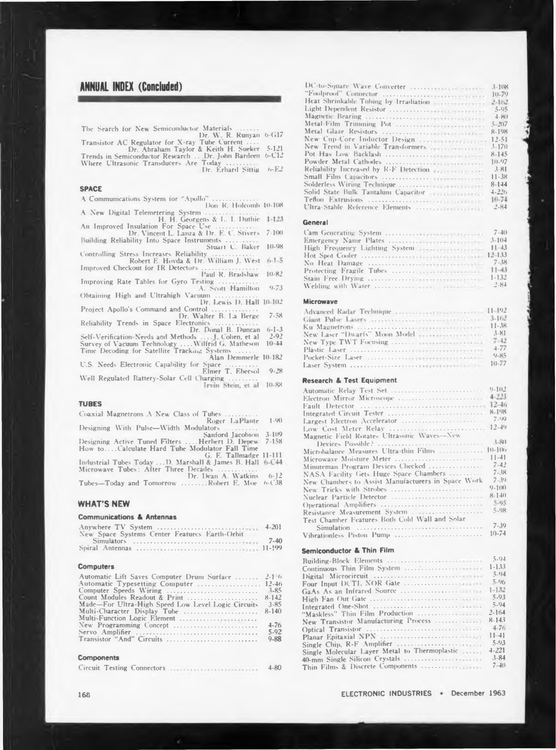## **ANNUAL INDEX (Concluded)**

**0-G17**

The Search for New Semiconductor Materials .......<br>Transistor AC Regulator for X-ray Tube Current ....<br>Dr. Abraham Taylor & Keith H. Sueker 5-121<br>Trends in Semiconductor Research ...Dr. John Bardeen 6-C12<br>Where Ultrasonic **5-121 6-CT2 (>-E2**

## **SPACE**

**A Communications System for "Apollo" ............................**

**Don R. Holcomb 10-108** A New Digital Telemetering System<br>
H. H. Georgens & L. I. Duthie<br>
An Improved Insulation For Space Use<br>
Dr. Vincent L. Lanza & Dr. E. C. Stivers 7-100

**Building Reliability Into Space Instruments ...................**

Stuart C. Baker<br>Controlling Stress Increases Reliability<br>Robert E. Hovda & Dr. William J. West<br>Improved Checkout for IR Detectors<br>Paul R. Bradshaw **10-98**

**Improving Rate Tables for Gyro Testing ....................... A. Scott Hamilton 9-73 10-82**

**Obtaining High and Ultrahigh Vacuum .........................**

**Dr. Lewis D. Hall 10 102 Project Apollo's Command and Control ............................**

**Dr. Walter B. 1.a Berge 7-58 Reliability Trends in Space Electronics .........................**

**Dr. Donal B. Duncan 6-1-3**

Self-Verification-Needs and Methods ..... J. Cohen, et al<br>Survey of Vacuum Technology ....Wilfrid G. Matheson<br>Time Decoding for Satellite Tracking Systems ....... **2-92 10-44**

**10-182**

**Alan Demmerle U.S. Needs Electronic Capability for Space ................... Elmer T. Ebersol 9-28**

**Well Regulated Battery-Solar Cell Charging ................. 1rvin Stein**, et al 10-88

#### **TUBES**

**Coaxial Magnetrons A New Class of Tubes ................... Roger LaPlante 1-90 Designing With Pulse—Width Modulators ...................**

Sanford Jacobson<br>How to....Calculate Hard Tube Modulator D. Deprw<br>How to....Calculate Hard Tube Modulator Fall Time<br>G. E. Tallmadge **3-109 7-158**

Industrial Tubes Today ... D. Marshall & James B. Hall 6-C+4<br>Microwave Tubes: After Three Decades ..............<br>Tubes—Today and Tomorrow ........ Robert E. Moe 6-C38 **11-111**

## **WHAT'S NEW**

## **Communications & Antennas**

| Anywhere TV System                            | $-4 - 201$ |
|-----------------------------------------------|------------|
| New Space Systems Center Features Earth-Orbit | $7 - 40$   |
|                                               |            |

#### **Computers**

| Automatic Lift Saves Computer Drum Surface  2-1 6  |          |
|----------------------------------------------------|----------|
|                                                    |          |
| Computer Speeds Wiring                             | 3-85     |
|                                                    |          |
| Made-For Ultra-High Speed Low Level Logic Circuits | $3 - 85$ |
| Multi-Character Display Tube  8-140                |          |
| Multi-Function Logic Element                       |          |
| New Programming Concept                            | $4 - 76$ |
|                                                    | $5-92$   |
| Transistor "And" Circuits                          | $9 - 88$ |
|                                                    |          |

#### **Components**

|  |  |  | Circuit Testing Connectors |  | $4 - 80$ |
|--|--|--|----------------------------|--|----------|
|--|--|--|----------------------------|--|----------|

|                                                                | $3 - 108$   |
|----------------------------------------------------------------|-------------|
|                                                                | $10-79$     |
| Heat Shrinkable Tubing by Irradiation <b>System Shrinkable</b> | $2 - 162$   |
|                                                                | $5 - 95$    |
|                                                                | $4 - 19(1)$ |
| Metal-Film Trimming Pot                                        | $5 - 207$   |
|                                                                | 8-198       |
| New Cup-Core Inductor Design                                   | $12 - 51$   |
| New Trend in Variable Transformers                             | $3 - 170$   |
|                                                                | $8 - 145$   |
|                                                                | $10-97$     |
| Reliability Increased by R-F Detection recorrections           | 3.81        |
|                                                                | $11 - 38$   |
|                                                                | $8 - 144$   |
|                                                                | $4 - 226$   |
|                                                                | $10 - 74$   |
|                                                                | $2 - 84$    |

## **General**

| $3 - 104$ |
|-----------|
|           |
|           |
| $7 - 38$  |
|           |
| $1 - 132$ |
|           |

#### **Microwave**

| $3 - 81$ |
|----------|
| $7 - 42$ |
| $-1.77$  |
| $9 - 85$ |
|          |

#### **Research & Test Equipment**

| Automatic Relay Test Set                           | $9 - 102$    |
|----------------------------------------------------|--------------|
|                                                    | $4 - 223$    |
|                                                    | $12 - 46$    |
| Integrated Circuit Tester                          | $8 - 198$    |
| Largest Electron Accelerator                       | 7.09         |
| Low Cost Meter Relay                               | $12 - 49$    |
| Magnetic Field Rotates Ultrasonic Waves-New        |              |
| Devices Possible?                                  | $3 - 80$     |
| Microbalance Measures Ultra-thin Films             | $10-100$     |
| Microwave Moisture Meter                           | $11 - 41$    |
| Minuteman Program Devices Checked                  | $7 - 42$     |
| NASA Facility Gets Huge Space Chambers             | $7 - 38$     |
| New Chambers to Assist Manufacturers in Space Work | $7 - 39$     |
| New Tricks with Strobes                            | $9 - 1110$   |
| Nuclear Particle Detector                          | $R - 1 - 11$ |
| Operational Amplifiers                             | 5.05         |
| Resistance Measurement System                      | $5 - 98$     |
| Test Chamber Features Both Cold Wall and Solar     |              |
|                                                    | $7 - 39$     |
|                                                    |              |

**Simulation ............................................................................. Vibrationless Piston Pump ..................................................... 10-74**

## **Semiconductor & Thin Film**

|                                               | $5 - 94$   |
|-----------------------------------------------|------------|
|                                               | $1 - 1.33$ |
|                                               | $5-94$     |
|                                               | $5 - 96$   |
|                                               | $1 - 132$  |
|                                               | $5-93$     |
|                                               | $5-94$     |
|                                               | $2 - 164$  |
| New Transistor Manufacturing Process          | $8 - 14.3$ |
|                                               | $4 - 76$   |
|                                               | $11 - 11$  |
|                                               | $5 - 9.3$  |
| Single Molecular Layer Metal to Thermoplastic | $-1.221$   |
|                                               | $3 - 84$   |
|                                               | $7 - 40$   |
|                                               |            |